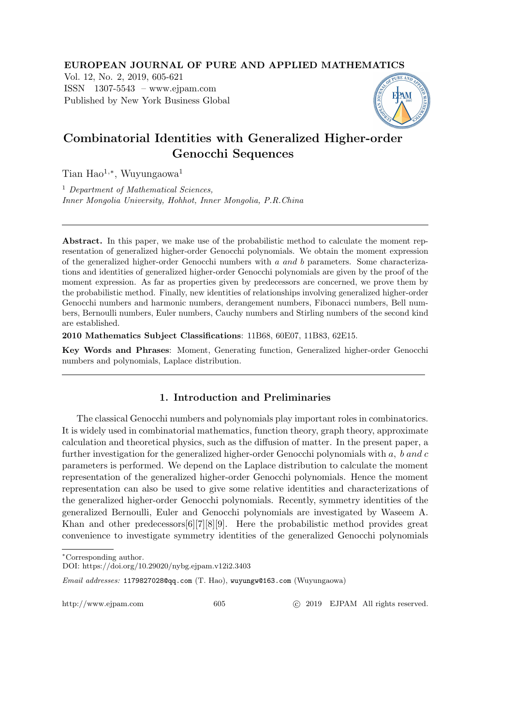EUROPEAN JOURNAL OF PURE AND APPLIED MATHEMATICS

Vol. 12, No. 2, 2019, 605-621 ISSN 1307-5543 – www.ejpam.com Published by New York Business Global



# Combinatorial Identities with Generalized Higher-order Genocchi Sequences

Tian Hao<sup>1,∗</sup>, Wuyungaowa<sup>1</sup>

<sup>1</sup> Department of Mathematical Sciences, Inner Mongolia University, Hohhot, Inner Mongolia, P.R.China

Abstract. In this paper, we make use of the probabilistic method to calculate the moment representation of generalized higher-order Genocchi polynomials. We obtain the moment expression of the generalized higher-order Genocchi numbers with a and b parameters. Some characterizations and identities of generalized higher-order Genocchi polynomials are given by the proof of the moment expression. As far as properties given by predecessors are concerned, we prove them by the probabilistic method. Finally, new identities of relationships involving generalized higher-order Genocchi numbers and harmonic numbers, derangement numbers, Fibonacci numbers, Bell numbers, Bernoulli numbers, Euler numbers, Cauchy numbers and Stirling numbers of the second kind are established.

2010 Mathematics Subject Classifications: 11B68, 60E07, 11B83, 62E15.

Key Words and Phrases: Moment, Generating function, Generalized higher-order Genocchi numbers and polynomials, Laplace distribution.

## 1. Introduction and Preliminaries

The classical Genocchi numbers and polynomials play important roles in combinatorics. It is widely used in combinatorial mathematics, function theory, graph theory, approximate calculation and theoretical physics, such as the diffusion of matter. In the present paper, a further investigation for the generalized higher-order Genocchi polynomials with  $a, b, and c$ parameters is performed. We depend on the Laplace distribution to calculate the moment representation of the generalized higher-order Genocchi polynomials. Hence the moment representation can also be used to give some relative identities and characterizations of the generalized higher-order Genocchi polynomials. Recently, symmetry identities of the generalized Bernoulli, Euler and Genocchi polynomials are investigated by Waseem A. Khan and other predecessors[6][7][8][9]. Here the probabilistic method provides great convenience to investigate symmetry identities of the generalized Genocchi polynomials

http://www.ejpam.com 605 c 2019 EJPAM All rights reserved.

<sup>∗</sup>Corresponding author.

DOI: https://doi.org/10.29020/nybg.ejpam.v12i2.3403

Email addresses: 1179827028@qq.com (T. Hao), wuyungw@163.com (Wuyungaowa)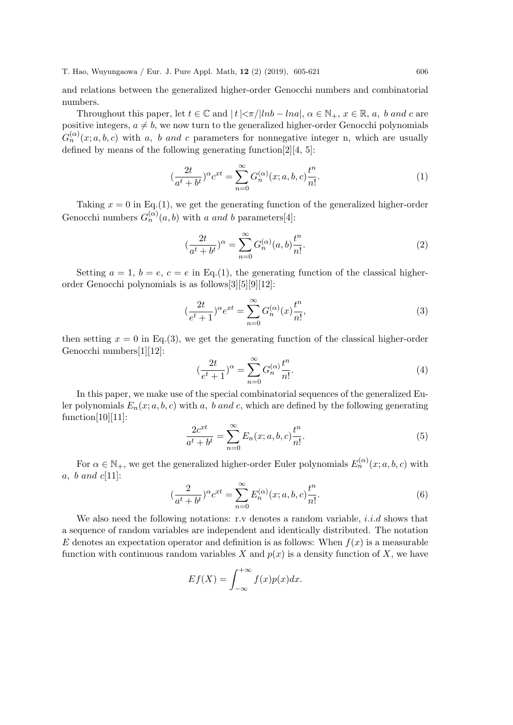and relations between the generalized higher-order Genocchi numbers and combinatorial numbers.

Throughout this paper, let  $t \in \mathbb{C}$  and  $|t| < \pi/|ln b - ln a|$ ,  $\alpha \in \mathbb{N}_+$ ,  $x \in \mathbb{R}$ ,  $a$ ,  $b$  and  $c$  are positive integers,  $a \neq b$ , we now turn to the generalized higher-order Genocchi polynomials  $G_n^{(\alpha)}(x;a,b,c)$  with a, b and c parameters for nonnegative integer n, which are usually defined by means of the following generating function[2][4, 5]:

$$
(\frac{2t}{a^t + b^t})^{\alpha} c^{xt} = \sum_{n=0}^{\infty} G_n^{(\alpha)}(x; a, b, c) \frac{t^n}{n!}.
$$
 (1)

Taking  $x = 0$  in Eq.(1), we get the generating function of the generalized higher-order Genocchi numbers  $G_n^{(\alpha)}(a, b)$  with a and b parameters[4]:

$$
(\frac{2t}{a^t + b^t})^{\alpha} = \sum_{n=0}^{\infty} G_n^{(\alpha)}(a, b) \frac{t^n}{n!}.
$$
 (2)

Setting  $a = 1$ ,  $b = e$ ,  $c = e$  in Eq.(1), the generating function of the classical higherorder Genocchi polynomials is as follows[3][5][9][12]:

$$
(\frac{2t}{e^t+1})^{\alpha}e^{xt} = \sum_{n=0}^{\infty} G_n^{(\alpha)}(x)\frac{t^n}{n!},
$$
\n(3)

then setting  $x = 0$  in Eq.(3), we get the generating function of the classical higher-order Genocchi numbers[1][12]:

$$
\left(\frac{2t}{e^t+1}\right)^{\alpha} = \sum_{n=0}^{\infty} G_n^{(\alpha)} \frac{t^n}{n!}.
$$
\n
$$
(4)
$$

In this paper, we make use of the special combinatorial sequences of the generalized Euler polynomials  $E_n(x; a, b, c)$  with a, b and c, which are defined by the following generating  $function[10][11]$ :

$$
\frac{2c^{xt}}{a^t + b^t} = \sum_{n=0}^{\infty} E_n(x; a, b, c) \frac{t^n}{n!}.
$$
 (5)

For  $\alpha \in \mathbb{N}_+$ , we get the generalized higher-order Euler polynomials  $E_n^{(\alpha)}(x; a, b, c)$  with a, b and  $c[11]$ :

$$
(\frac{2}{a^t + b^t})^{\alpha} c^{xt} = \sum_{n=0}^{\infty} E_n^{(\alpha)}(x; a, b, c) \frac{t^n}{n!}.
$$
 (6)

We also need the following notations: r.v denotes a random variable, *i.i.d* shows that a sequence of random variables are independent and identically distributed. The notation E denotes an expectation operator and definition is as follows: When  $f(x)$  is a measurable function with continuous random variables X and  $p(x)$  is a density function of X, we have

$$
Ef(X) = \int_{-\infty}^{+\infty} f(x)p(x)dx.
$$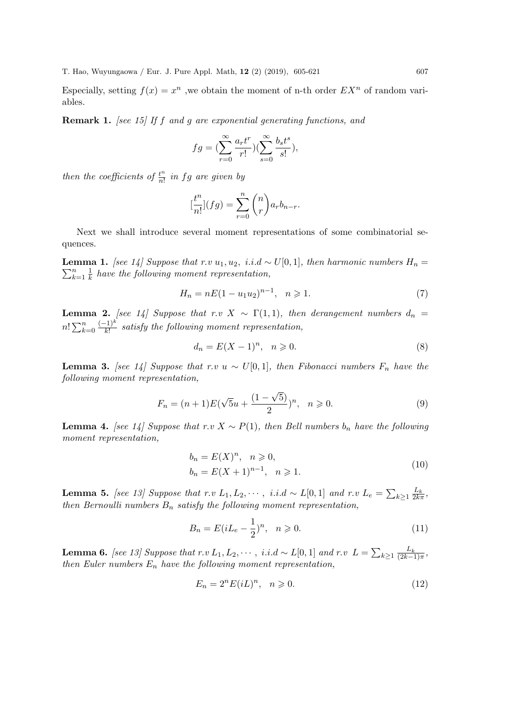Especially, setting  $f(x) = x^n$ , we obtain the moment of n-th order  $EX^n$  of random variables.

Remark 1. [see 15] If f and g are exponential generating functions, and

$$
fg = \left(\sum_{r=0}^{\infty} \frac{a_r t^r}{r!} \right) \left(\sum_{s=0}^{\infty} \frac{b_s t^s}{s!} \right),
$$

then the coefficients of  $\frac{t^n}{n!}$  $\frac{t^n}{n!}$  in fg are given by

$$
\left[\frac{t^n}{n!}\right](fg) = \sum_{r=0}^n \binom{n}{r} a_r b_{n-r}.
$$

Next we shall introduce several moment representations of some combinatorial sequences.

 $\sum_{k=1}^{n}$ **Lemma 1.** [see 14] Suppose that r.v u<sub>1</sub>, u<sub>2</sub>, i.i.d ~ U[0, 1], then harmonic numbers  $H_n =$  $\frac{n}{k=1}$   $\frac{1}{k}$  $\frac{1}{k}$  have the following moment representation,

$$
H_n = nE(1 - u_1 u_2)^{n-1}, \quad n \geq 1.
$$
\n(7)

**Lemma 2.** [see 14] Suppose that r.v  $X \sim \Gamma(1,1)$ , then derangement numbers  $d_n =$  $n! \sum_{k=0}^{n}$  $(-1)^k$  $\frac{f(1)^n}{k!}$  satisfy the following moment representation,

$$
d_n = E(X - 1)^n, \quad n \ge 0. \tag{8}
$$

**Lemma 3.** [see 14] Suppose that r.v u ~ U[0,1], then Fibonacci numbers  $F_n$  have the following moment representation,

$$
F_n = (n+1)E(\sqrt{5}u + \frac{(1-\sqrt{5})}{2})^n, \quad n \ge 0.
$$
 (9)

**Lemma 4.** [see 14] Suppose that r.v  $X \sim P(1)$ , then Bell numbers  $b_n$  have the following moment representation,

$$
b_n = E(X)^n, \quad n \ge 0,
$$
  
\n
$$
b_n = E(X+1)^{n-1}, \quad n \ge 1.
$$
\n(10)

**Lemma 5.** [see 13] Suppose that r.v  $L_1, L_2, \cdots$ , i.i.d ~  $L[0,1]$  and r.v  $L_e = \sum_{k \geq 1} \frac{L_k}{2k\pi}$ , then Bernoulli numbers  $B_n$  satisfy the following moment representation,

$$
B_n = E(iL_e - \frac{1}{2})^n, \quad n \ge 0.
$$
 (11)

**Lemma 6.** [see 13] Suppose that  $r.v L_1, L_2, \cdots, i.i.d \sim L[0,1]$  and  $r.v L = \sum_{k \geq 1} \frac{L_k}{(2k-1)\pi}$ , then Euler numbers  $E_n$  have the following moment representation,

$$
E_n = 2^n E(iL)^n, \quad n \ge 0. \tag{12}
$$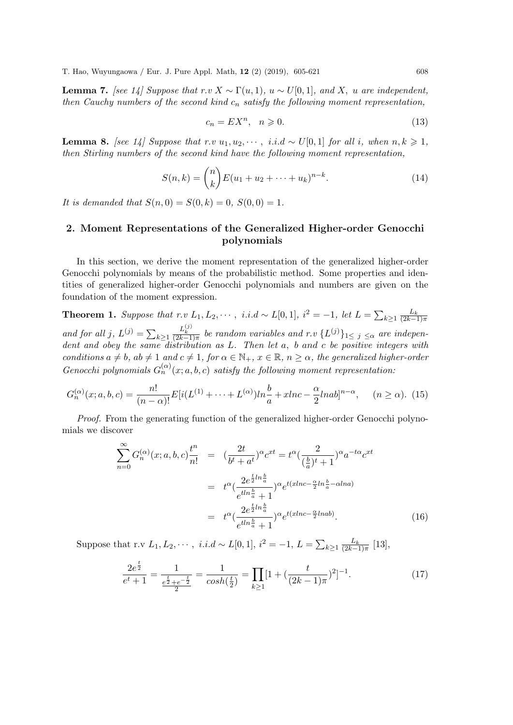**Lemma 7.** [see 14] Suppose that  $r.v X \sim \Gamma(u, 1)$ ,  $u \sim U[0, 1]$ , and X, u are independent, then Cauchy numbers of the second kind  $c_n$  satisfy the following moment representation,

$$
c_n = EX^n, \quad n \geqslant 0. \tag{13}
$$

**Lemma 8.** [see 14] Suppose that r.v  $u_1, u_2, \dots, i.i.d \sim U[0,1]$  for all i, when  $n, k \geq 1$ , then Stirling numbers of the second kind have the following moment representation,

$$
S(n,k) = {n \choose k} E(u_1 + u_2 + \dots + u_k)^{n-k}.
$$
 (14)

It is demanded that  $S(n, 0) = S(0, k) = 0$ ,  $S(0, 0) = 1$ .

## 2. Moment Representations of the Generalized Higher-order Genocchi polynomials

In this section, we derive the moment representation of the generalized higher-order Genocchi polynomials by means of the probabilistic method. Some properties and identities of generalized higher-order Genocchi polynomials and numbers are given on the foundation of the moment expression.

**Theorem 1.** Suppose that r.v  $L_1, L_2, \cdots$ , i.i.d ~  $L[0,1]$ ,  $i^2 = -1$ , let  $L = \sum_{k \geq 1} \frac{L_k}{(2k-1)\pi}$ and for all j,  $L^{(j)} = \sum_{k \geq 1}$  $\frac{L_k^{(j)}}{(2k-1)\pi}$  be random variables and r.v  $\{L^{(j)}\}_{1\leq j\leq \alpha}$  are independent and obey the same distribution as L. Then let a, b and c be positive integers with conditions  $a \neq b$ ,  $ab \neq 1$  and  $c \neq 1$ , for  $\alpha \in \mathbb{N}_+$ ,  $x \in \mathbb{R}$ ,  $n \geq \alpha$ , the generalized higher-order Genocchi polynomials  $G_n^{(\alpha)}(x;a,b,c)$  satisfy the following moment representation:

$$
G_n^{(\alpha)}(x;a,b,c) = \frac{n!}{(n-\alpha)!} E[i(L^{(1)} + \dots + L^{(\alpha)})ln\frac{b}{a} + xlnc - \frac{\alpha}{2}lnab]^{n-\alpha}, \quad (n \ge \alpha). \tag{15}
$$

Proof. From the generating function of the generalized higher-order Genocchi polynomials we discover

$$
\sum_{n=0}^{\infty} G_n^{(\alpha)}(x;a,b,c) \frac{t^n}{n!} = \left( \frac{2t}{b^t + a^t} \right)^{\alpha} c^{xt} = t^{\alpha} \left( \frac{2}{\left(\frac{b}{a}\right)^t + 1} \right)^{\alpha} a^{-t\alpha} c^{xt}
$$

$$
= t^{\alpha} \left( \frac{2e^{\frac{t}{2}ln\frac{b}{a}}}{e^{tln\frac{b}{a}} + 1} \right)^{\alpha} e^{t(xlnc - \frac{\alpha}{2}ln\frac{b}{a} - \alpha lna)}
$$

$$
= t^{\alpha} \left( \frac{2e^{\frac{t}{2}ln\frac{b}{a}}}{e^{tln\frac{b}{a}} + 1} \right)^{\alpha} e^{t(xlnc - \frac{\alpha}{2}lnab)}.
$$
(16)

Suppose that r.v  $L_1, L_2, \cdots$ , *i.i.d* ~  $L[0, 1]$ ,  $i^2 = -1$ ,  $L = \sum_{k \geq 1} \frac{L_k}{(2k-1)\pi}$  [13],

$$
\frac{2e^{\frac{t}{2}}}{e^t + 1} = \frac{1}{\frac{e^{\frac{t}{2}} + e^{-\frac{t}{2}}}{2}} = \frac{1}{\cosh(\frac{t}{2})} = \prod_{k \ge 1} [1 + (\frac{t}{(2k - 1)\pi})^2]^{-1}.
$$
\n(17)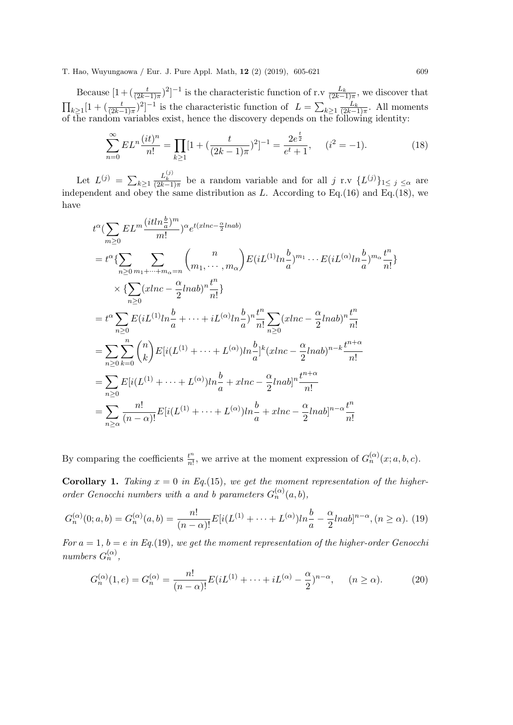Because  $[1 + (\frac{t}{(2k-1)\pi})^2]^{-1}$  is the characteristic function of r.v  $\frac{L_k}{(2k-1)\pi}$ , we discover that  $\prod_{k\geq 1} [1 + (\frac{t}{(2k-1)\pi})^2]^{-1}$  is the characteristic function of  $L = \sum_{k\geq 1} \frac{L_k}{(2k-1)\pi}$ . All moments of the random variables exist, hence the discovery depends on the following identity:

$$
\sum_{n=0}^{\infty} EL^n \frac{(it)^n}{n!} = \prod_{k \ge 1} [1 + (\frac{t}{(2k-1)\pi})^2]^{-1} = \frac{2e^{\frac{t}{2}}}{e^t + 1}, \quad (i^2 = -1). \tag{18}
$$

Let  $L^{(j)} = \sum_{k \geq 1}$  $\frac{L_k^{(j)}}{(2k-1)\pi}$  be a random variable and for all j r.v  $\{L^{(j)}\}_{1\leq j\leq \alpha}$  are independent and obey the same distribution as  $L$ . According to Eq.(16) and Eq.(18), we have

$$
t^{\alpha} \left(\sum_{m\geq 0} EL^{m} \frac{(itln\frac{b}{a})^{m}}{m!} \right)^{\alpha} e^{t(xlnc - \frac{\alpha}{2}lnab)}
$$
  
\n
$$
= t^{\alpha} \left\{ \sum_{n\geq 0} \sum_{m_1 + \dots + m_{\alpha} = n} {n \choose m_1, \dots, m_{\alpha}} E(iL^{(1)}ln\frac{b}{a})^{m_1} \dots E(iL^{(\alpha)}ln\frac{b}{a})^{m_{\alpha}} \frac{t^n}{n!} \right\}
$$
  
\n
$$
\times \left\{ \sum_{n\geq 0} (xlnc - \frac{\alpha}{2}lnab)^n \frac{t^n}{n!} \right\}
$$
  
\n
$$
= t^{\alpha} \sum_{n\geq 0} E(iL^{(1)}ln\frac{b}{a} + \dots + iL^{(\alpha)}ln\frac{b}{a})^n \frac{t^n}{n!} \sum_{n\geq 0} (xlnc - \frac{\alpha}{2}lnab)^n \frac{t^n}{n!}
$$
  
\n
$$
= \sum_{n\geq 0} \sum_{k=0}^{n} {n \choose k} E[i(L^{(1)} + \dots + L^{(\alpha)})ln\frac{b}{a}]^k (xlnc - \frac{\alpha}{2}lnab)^{n-k} \frac{t^{n+\alpha}}{n!}
$$
  
\n
$$
= \sum_{n\geq 0} E[i(L^{(1)} + \dots + L^{(\alpha)})ln\frac{b}{a} + xlnc - \frac{\alpha}{2}lnab]^n \frac{t^{n+\alpha}}{n!}
$$
  
\n
$$
= \sum_{n\geq \alpha} \frac{n!}{(n-\alpha)!} E[i(L^{(1)} + \dots + L^{(\alpha)})ln\frac{b}{a} + xlnc - \frac{\alpha}{2}lnab]^{n-\alpha} \frac{t^n}{n!}
$$

By comparing the coefficients  $\frac{t^n}{n!}$  $\frac{t^n}{n!}$ , we arrive at the moment expression of  $G_n^{(\alpha)}(x; a, b, c)$ .

**Corollary 1.** Taking  $x = 0$  in Eq.(15), we get the moment representation of the higherorder Genocchi numbers with a and b parameters  $G_n^{(\alpha)}(a, b)$ ,

$$
G_n^{(\alpha)}(0; a, b) = G_n^{(\alpha)}(a, b) = \frac{n!}{(n - \alpha)!} E[i(L^{(1)} + \dots + L^{(\alpha)})ln\frac{b}{a} - \frac{\alpha}{2}lnab]^{n - \alpha}, (n \ge \alpha). \tag{19}
$$

For  $a = 1$ ,  $b = e$  in Eq.(19), we get the moment representation of the higher-order Genocchi numbers  $G_n^{(\alpha)}$ ,

$$
G_n^{(\alpha)}(1, e) = G_n^{(\alpha)} = \frac{n!}{(n - \alpha)!} E(iL^{(1)} + \dots + iL^{(\alpha)} - \frac{\alpha}{2})^{n - \alpha}, \quad (n \ge \alpha). \tag{20}
$$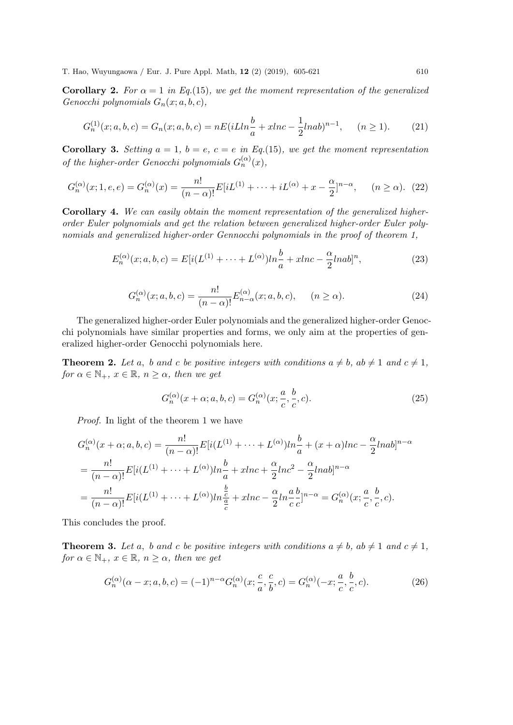Corollary 2. For  $\alpha = 1$  in Eq.(15), we get the moment representation of the generalized Genocchi polynomials  $G_n(x; a, b, c)$ ,

$$
G_n^{(1)}(x;a,b,c) = G_n(x;a,b,c) = nE(iLln\frac{b}{a} + xlnc - \frac{1}{2}lnab)^{n-1}, \quad (n \ge 1).
$$
 (21)

**Corollary 3.** Setting  $a = 1$ ,  $b = e$ ,  $c = e$  in Eq.(15), we get the moment representation of the higher-order Genocchi polynomials  $G_n^{(\alpha)}(x)$ ,

$$
G_n^{(\alpha)}(x; 1, e, e) = G_n^{(\alpha)}(x) = \frac{n!}{(n - \alpha)!} E[iL^{(1)} + \dots + iL^{(\alpha)} + x - \frac{\alpha}{2}]^{n - \alpha}, \quad (n \ge \alpha). \tag{22}
$$

Corollary 4. We can easily obtain the moment representation of the generalized higherorder Euler polynomials and get the relation between generalized higher-order Euler polynomials and generalized higher-order Gennocchi polynomials in the proof of theorem 1,

$$
E_n^{(\alpha)}(x;a,b,c) = E[i(L^{(1)} + \dots + L^{(\alpha)})ln\frac{b}{a} + xlnc - \frac{\alpha}{2}lnab]^n,
$$
\n(23)

$$
G_n^{(\alpha)}(x;a,b,c) = \frac{n!}{(n-\alpha)!} E_{n-\alpha}^{(\alpha)}(x;a,b,c), \qquad (n \ge \alpha). \tag{24}
$$

The generalized higher-order Euler polynomials and the generalized higher-order Genocchi polynomials have similar properties and forms, we only aim at the properties of generalized higher-order Genocchi polynomials here.

**Theorem 2.** Let a, b and c be positive integers with conditions  $a \neq b$ ,  $ab \neq 1$  and  $c \neq 1$ , for  $\alpha \in \mathbb{N}_+$ ,  $x \in \mathbb{R}$ ,  $n > \alpha$ , then we get

$$
G_n^{(\alpha)}(x+\alpha; a, b, c) = G_n^{(\alpha)}(x; \frac{a}{c}, \frac{b}{c}, c).
$$
 (25)

Proof. In light of the theorem 1 we have

$$
G_n^{(\alpha)}(x+\alpha;a,b,c) = \frac{n!}{(n-\alpha)!} E[i(L^{(1)} + \dots + L^{(\alpha)})ln\frac{b}{a} + (x+\alpha)lnc - \frac{\alpha}{2}lnab]^{n-\alpha}
$$
  
= 
$$
\frac{n!}{(n-\alpha)!} E[i(L^{(1)} + \dots + L^{(\alpha)})ln\frac{b}{a} + xlnc + \frac{\alpha}{2}lnc^2 - \frac{\alpha}{2}lnab]^{n-\alpha}
$$
  
= 
$$
\frac{n!}{(n-\alpha)!} E[i(L^{(1)} + \dots + L^{(\alpha)})ln\frac{b}{\frac{a}{c}} + xlnc - \frac{\alpha}{2}ln\frac{a}{c}ln\frac{b}{c}]^{n-\alpha} = G_n^{(\alpha)}(x; \frac{a}{c}, \frac{b}{c}, c).
$$

This concludes the proof.

**Theorem 3.** Let a, b and c be positive integers with conditions  $a \neq b$ ,  $ab \neq 1$  and  $c \neq 1$ , for  $\alpha \in \mathbb{N}_+$ ,  $x \in \mathbb{R}$ ,  $n \geq \alpha$ , then we get

$$
G_n^{(\alpha)}(\alpha - x; a, b, c) = (-1)^{n - \alpha} G_n^{(\alpha)}(x; \frac{c}{a}, \frac{c}{b}, c) = G_n^{(\alpha)}(-x; \frac{a}{c}, \frac{b}{c}, c).
$$
 (26)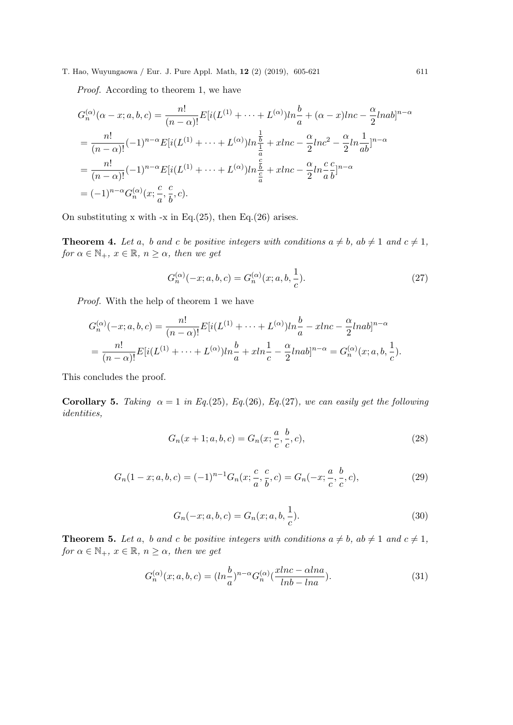Proof. According to theorem 1, we have

$$
G_n^{(\alpha)}(\alpha - x; a, b, c) = \frac{n!}{(n - \alpha)!} E[i(L^{(1)} + \dots + L^{(\alpha)})ln\frac{b}{a} + (\alpha - x)lnc - \frac{\alpha}{2}lnab]^{n - \alpha}
$$
  
= 
$$
\frac{n!}{(n - \alpha)!} (-1)^{n - \alpha} E[i(L^{(1)} + \dots + L^{(\alpha)})ln\frac{b}{\frac{1}{a}} + xlnc - \frac{\alpha}{2}lnc^2 - \frac{\alpha}{2}ln\frac{1}{ab}]^{n - \alpha}
$$
  
= 
$$
\frac{n!}{(n - \alpha)!} (-1)^{n - \alpha} E[i(L^{(1)} + \dots + L^{(\alpha)})ln\frac{b}{\frac{c}{a}} + xlnc - \frac{\alpha}{2}ln\frac{c}{ab}]^{n - \alpha}
$$
  
= 
$$
(-1)^{n - \alpha} G_n^{(\alpha)}(x; \frac{c}{a}, \frac{c}{b}, c).
$$

On substituting x with  $-x$  in Eq.(25), then Eq.(26) arises.

**Theorem 4.** Let a, b and c be positive integers with conditions  $a \neq b$ ,  $ab \neq 1$  and  $c \neq 1$ , for  $\alpha \in \mathbb{N}_+$ ,  $x \in \mathbb{R}$ ,  $n \geq \alpha$ , then we get

$$
G_n^{(\alpha)}(-x;a,b,c) = G_n^{(\alpha)}(x;a,b,\frac{1}{c}).
$$
\n(27)

Proof. With the help of theorem 1 we have

$$
G_n^{(\alpha)}(-x;a,b,c) = \frac{n!}{(n-\alpha)!} E[i(L^{(1)} + \dots + L^{(\alpha)})ln\frac{b}{a} - xlnc - \frac{\alpha}{2}lnab]^{n-\alpha}
$$
  
= 
$$
\frac{n!}{(n-\alpha)!} E[i(L^{(1)} + \dots + L^{(\alpha)})ln\frac{b}{a} + xln\frac{1}{c} - \frac{\alpha}{2}lnab]^{n-\alpha} = G_n^{(\alpha)}(x;a,b,\frac{1}{c}).
$$

This concludes the proof.

Corollary 5. Taking  $\alpha = 1$  in Eq.(25), Eq.(26), Eq.(27), we can easily get the following identities,

$$
G_n(x+1; a, b, c) = G_n(x; \frac{a}{c}, \frac{b}{c}, c),
$$
\n(28)

$$
G_n(1-x;a,b,c) = (-1)^{n-1} G_n(x; \frac{c}{a}, \frac{c}{b}, c) = G_n(-x; \frac{a}{c}, \frac{b}{c}, c),
$$
\n(29)

$$
G_n(-x; a, b, c) = G_n(x; a, b, \frac{1}{c}).
$$
\n(30)

**Theorem 5.** Let a, b and c be positive integers with conditions  $a \neq b$ ,  $ab \neq 1$  and  $c \neq 1$ , for  $\alpha \in \mathbb{N}_+$ ,  $x \in \mathbb{R}$ ,  $n \geq \alpha$ , then we get

$$
G_n^{(\alpha)}(x;a,b,c) = (ln\frac{b}{a})^{n-\alpha}G_n^{(\alpha)}\left(\frac{xlnc - \alpha lna}{lnb - lna}\right). \tag{31}
$$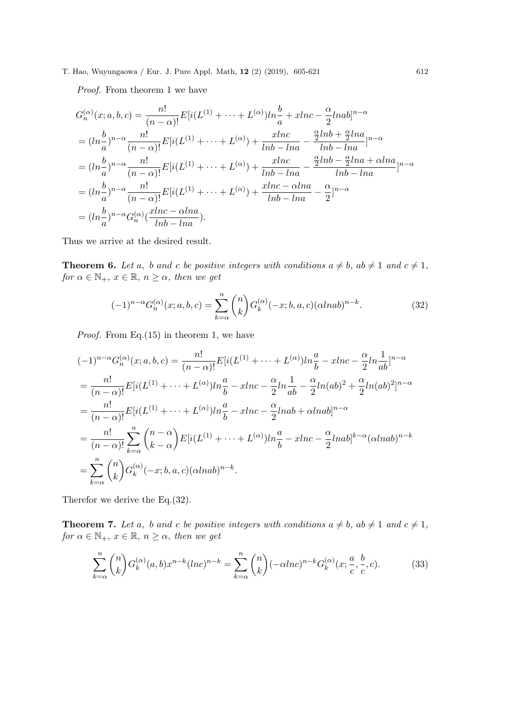Proof. From theorem 1 we have

$$
G_n^{(\alpha)}(x;a,b,c) = \frac{n!}{(n-\alpha)!} E[i(L^{(1)} + \dots + L^{(\alpha)})ln\frac{b}{a} + xlnc - \frac{\alpha}{2}lnab]^{n-\alpha}
$$
  
\n
$$
= (ln\frac{b}{a})^{n-\alpha} \frac{n!}{(n-\alpha)!} E[i(L^{(1)} + \dots + L^{(\alpha)}) + \frac{xlnc}{lnb - lna} - \frac{\frac{\alpha}{2}lnb + \frac{\alpha}{2}lna}{lnb - lna}]^{n-\alpha}
$$
  
\n
$$
= (ln\frac{b}{a})^{n-\alpha} \frac{n!}{(n-\alpha)!} E[i(L^{(1)} + \dots + L^{(\alpha)}) + \frac{xlnc}{lnb - lna} - \frac{\frac{\alpha}{2}lnb - \frac{\alpha}{2}lna + \alpha lna}{lnb - lna}]^{n-\alpha}
$$
  
\n
$$
= (ln\frac{b}{a})^{n-\alpha} \frac{n!}{(n-\alpha)!} E[i(L^{(1)} + \dots + L^{(\alpha)}) + \frac{xlnc - \alpha lna}{lnb - lna} - \frac{\alpha}{2}]^{n-\alpha}
$$
  
\n
$$
= (ln\frac{b}{a})^{n-\alpha} G_n^{(\alpha)}(\frac{xlnc - \alpha lna}{lnb - lna}).
$$

Thus we arrive at the desired result.

**Theorem 6.** Let a, b and c be positive integers with conditions  $a \neq b$ ,  $ab \neq 1$  and  $c \neq 1$ , for  $\alpha \in \mathbb{N}_+$ ,  $x \in \mathbb{R}$ ,  $n \geq \alpha$ , then we get

$$
(-1)^{n-\alpha} G_n^{(\alpha)}(x;a,b,c) = \sum_{k=\alpha}^n \binom{n}{k} G_k^{(\alpha)}(-x;b,a,c) (\alpha lnab)^{n-k}.
$$
 (32)

*Proof.* From Eq.  $(15)$  in theorem 1, we have

$$
(-1)^{n-\alpha}G_n^{(\alpha)}(x;a,b,c) = \frac{n!}{(n-\alpha)!}E[i(L^{(1)} + \dots + L^{(\alpha)})ln\frac{a}{b} - xlnc - \frac{\alpha}{2}ln\frac{1}{ab}]^{n-\alpha}
$$
  
\n
$$
= \frac{n!}{(n-\alpha)!}E[i(L^{(1)} + \dots + L^{(\alpha)})ln\frac{a}{b} - xlnc - \frac{\alpha}{2}ln\frac{1}{ab} - \frac{\alpha}{2}ln(ab)^2 + \frac{\alpha}{2}ln(ab)^2]^{n-\alpha}
$$
  
\n
$$
= \frac{n!}{(n-\alpha)!}E[i(L^{(1)} + \dots + L^{(\alpha)})ln\frac{a}{b} - xlnc - \frac{\alpha}{2}lnab + \alpha lnab]^{n-\alpha}
$$
  
\n
$$
= \frac{n!}{(n-\alpha)!}\sum_{k=\alpha}^{n} {n-\alpha \choose k-\alpha}E[i(L^{(1)} + \dots + L^{(\alpha)})ln\frac{a}{b} - xlnc - \frac{\alpha}{2}lnab]^{k-\alpha}(\alpha lnab)^{n-k}
$$
  
\n
$$
= \sum_{k=\alpha}^{n} {n \choose k}G_k^{(\alpha)}(-x;b,a,c)(\alpha lnab)^{n-k}.
$$

Therefor we derive the Eq.(32).

**Theorem 7.** Let a, b and c be positive integers with conditions  $a \neq b$ ,  $ab \neq 1$  and  $c \neq 1$ , for  $\alpha \in \mathbb{N}_+$ ,  $x \in \mathbb{R}$ ,  $n \geq \alpha$ , then we get

$$
\sum_{k=\alpha}^{n} \binom{n}{k} G_k^{(\alpha)}(a,b) x^{n-k} (\operatorname{Inc})^{n-k} = \sum_{k=\alpha}^{n} \binom{n}{k} (-\alpha \operatorname{Inc})^{n-k} G_k^{(\alpha)}(x; \frac{a}{c}, \frac{b}{c}, c). \tag{33}
$$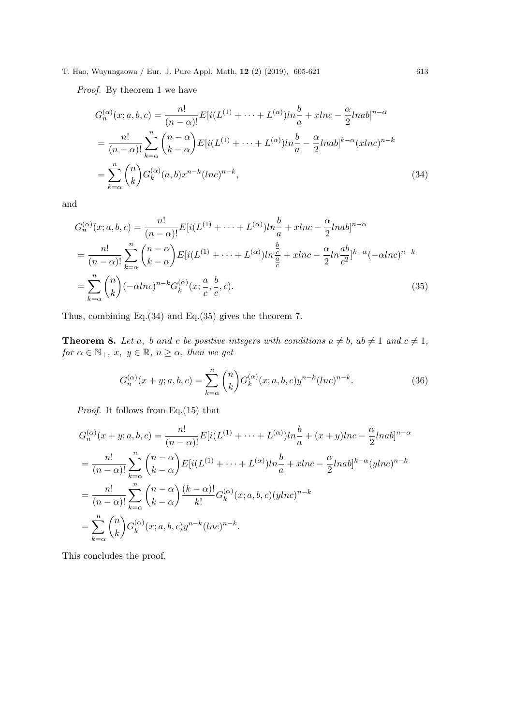Proof. By theorem 1 we have

$$
G_n^{(\alpha)}(x;a,b,c) = \frac{n!}{(n-\alpha)!} E[i(L^{(1)} + \dots + L^{(\alpha)})ln\frac{b}{a} + xlnc - \frac{\alpha}{2}lnab]^{n-\alpha}
$$
  

$$
= \frac{n!}{(n-\alpha)!} \sum_{k=\alpha}^n {n-\alpha \choose k-\alpha} E[i(L^{(1)} + \dots + L^{(\alpha)})ln\frac{b}{a} - \frac{\alpha}{2}lnab]^{k-\alpha} (xlnc)^{n-k}
$$
  

$$
= \sum_{k=\alpha}^n {n \choose k} G_k^{(\alpha)}(a,b) x^{n-k} (lnc)^{n-k},
$$
(34)

and

$$
G_n^{(\alpha)}(x;a,b,c) = \frac{n!}{(n-\alpha)!} E[i(L^{(1)} + \dots + L^{(\alpha)})ln\frac{b}{a} + xlnc - \frac{\alpha}{2}lnab]^{n-\alpha}
$$
  

$$
= \frac{n!}{(n-\alpha)!} \sum_{k=\alpha}^n {n-\alpha \choose k-\alpha} E[i(L^{(1)} + \dots + L^{(\alpha)})ln\frac{\frac{b}{a}}{\frac{a}{c}} + xlnc - \frac{\alpha}{2}ln\frac{ab}{c^2}]^{k-\alpha}(-\alpha lnc)^{n-k}
$$
  

$$
= \sum_{k=\alpha}^n {n \choose k} (-\alpha lnc)^{n-k} G_k^{(\alpha)}(x; \frac{a}{c}, \frac{b}{c}, c).
$$
 (35)

Thus, combining Eq.(34) and Eq.(35) gives the theorem 7.

**Theorem 8.** Let a, b and c be positive integers with conditions  $a \neq b$ ,  $ab \neq 1$  and  $c \neq 1$ ,  $for \alpha \in \mathbb{N}_+, x, y \in \mathbb{R}, n \ge \alpha, then we get$ 

$$
G_n^{(\alpha)}(x+y;a,b,c) = \sum_{k=\alpha}^n \binom{n}{k} G_k^{(\alpha)}(x;a,b,c) y^{n-k} (ln c)^{n-k}.
$$
 (36)

Proof. It follows from Eq.(15) that

$$
G_n^{(\alpha)}(x+y;a,b,c) = \frac{n!}{(n-\alpha)!} E[i(L^{(1)} + \dots + L^{(\alpha)})ln\frac{b}{a} + (x+y)lnc - \frac{\alpha}{2}lnab]^{n-\alpha}
$$
  
\n
$$
= \frac{n!}{(n-\alpha)!} \sum_{k=\alpha}^n {n-\alpha \choose k-\alpha} E[i(L^{(1)} + \dots + L^{(\alpha)})ln\frac{b}{a} + xlnc - \frac{\alpha}{2}lnab]^{k-\alpha} (ylnc)^{n-k}
$$
  
\n
$$
= \frac{n!}{(n-\alpha)!} \sum_{k=\alpha}^n {n-\alpha \choose k-\alpha} \frac{(k-\alpha)!}{k!} G_k^{(\alpha)}(x;a,b,c) (ylnc)^{n-k}
$$
  
\n
$$
= \sum_{k=\alpha}^n {n \choose k} G_k^{(\alpha)}(x;a,b,c) y^{n-k} (lnc)^{n-k}.
$$

This concludes the proof.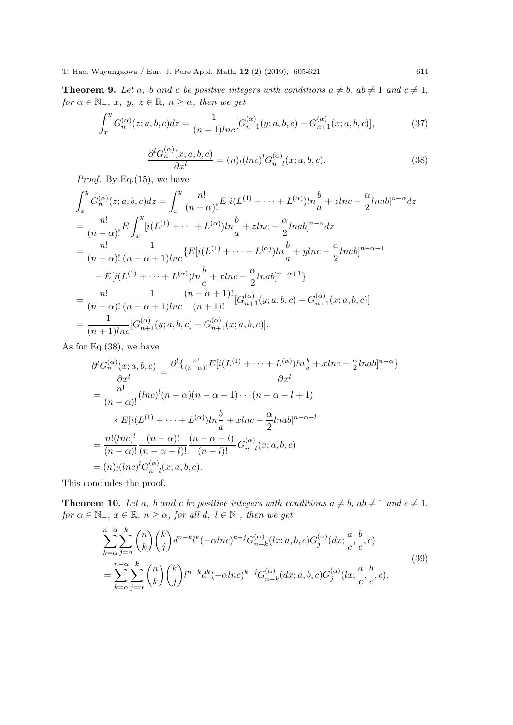**Theorem 9.** Let a, b and c be positive integers with conditions  $a \neq b$ ,  $ab \neq 1$  and  $c \neq 1$ ,  $for \alpha \in \mathbb{N}_+, x, y, z \in \mathbb{R}, n \ge \alpha, then we get$ 

$$
\int_{x}^{y} G_{n}^{(\alpha)}(z;a,b,c)dz = \frac{1}{(n+1)lnc} [G_{n+1}^{(\alpha)}(y;a,b,c) - G_{n+1}^{(\alpha)}(x;a,b,c)],
$$
\n(37)

$$
\frac{\partial^l G_n^{(\alpha)}(x;a,b,c)}{\partial x^l} = (n)_l(lnc)^l G_{n-l}^{(\alpha)}(x;a,b,c).
$$
\n(38)

*Proof.* By Eq.(15), we have

$$
\int_{x}^{y} G_{n}^{(\alpha)}(z;a,b,c)dz = \int_{x}^{y} \frac{n!}{(n-\alpha)!} E[i(L^{(1)} + \dots + L^{(\alpha)})ln\frac{b}{a} + zlnc - \frac{\alpha}{2}lnab]^{n-\alpha} dz
$$
  
\n
$$
= \frac{n!}{(n-\alpha)!} E \int_{x}^{y} [i(L^{(1)} + \dots + L^{(\alpha)})ln\frac{b}{a} + zlnc - \frac{\alpha}{2}lnab]^{n-\alpha} dz
$$
  
\n
$$
= \frac{n!}{(n-\alpha)!} \frac{1}{(n-\alpha+1)lnc} \{E[i(L^{(1)} + \dots + L^{(\alpha)})ln\frac{b}{a} + ylnc - \frac{\alpha}{2}lnab]^{n-\alpha+1}
$$
  
\n
$$
- E[i(L^{(1)} + \dots + L^{(\alpha)})ln\frac{b}{a} + xlnc - \frac{\alpha}{2}lnab]^{n-\alpha+1}\}
$$
  
\n
$$
= \frac{n!}{(n-\alpha)!} \frac{1}{(n-\alpha+1)lnc} \frac{(n-\alpha+1)!}{(n+1)!} [G_{n+1}^{(\alpha)}(y;a,b,c) - G_{n+1}^{(\alpha)}(x;a,b,c)]
$$
  
\n
$$
= \frac{1}{(n+1)lnc} [G_{n+1}^{(\alpha)}(y;a,b,c) - G_{n+1}^{(\alpha)}(x;a,b,c)].
$$

As for Eq.(38), we have

$$
\frac{\partial^l G_n^{(\alpha)}(x;a,b,c)}{\partial x^l} = \frac{\partial^l \{\frac{n!}{(n-\alpha)!} E[i(L^{(1)} + \dots + L^{(\alpha)})ln\frac{b}{a} + xlnc - \frac{\alpha}{2}lnab\}^{n-\alpha}\}}{\partial x^l}
$$

$$
= \frac{n!}{(n-\alpha)!} (lnc)^l (n-\alpha)(n-\alpha-1)\cdots(n-\alpha-l+1)
$$

$$
\times E[i(L^{(1)} + \dots + L^{(\alpha)})ln\frac{b}{a} + xlnc - \frac{\alpha}{2}lnab\}^{n-\alpha-l}
$$

$$
= \frac{n!(lnc)^l}{(n-\alpha)!} \frac{(n-\alpha)!}{(n-\alpha-l)!} \frac{(n-\alpha-l)!}{(n-l)!} G_{n-l}^{(\alpha)}(x;a,b,c)
$$

$$
= (n)_l(lnc)^l G_{n-l}^{(\alpha)}(x;a,b,c).
$$

This concludes the proof.

**Theorem 10.** Let a, b and c be positive integers with conditions  $a \neq b$ ,  $ab \neq 1$  and  $c \neq 1$ , for  $\alpha \in \mathbb{N}_+$ ,  $x \in \mathbb{R}$ ,  $n \geq \alpha$ , for all  $d, l \in \mathbb{N}$ , then we get

$$
\sum_{k=\alpha}^{n-\alpha} \sum_{j=\alpha}^{k} \binom{n}{k} \binom{k}{j} d^{n-k} l^{k} (-\alpha lnc)^{k-j} G_{n-k}^{(\alpha)}(lx; a, b, c) G_{j}^{(\alpha)}(dx; \frac{a}{c}, \frac{b}{c}, c)
$$
  
= 
$$
\sum_{k=\alpha}^{n-\alpha} \sum_{j=\alpha}^{k} \binom{n}{k} \binom{k}{j} l^{n-k} d^{k} (-\alpha lnc)^{k-j} G_{n-k}^{(\alpha)}(dx; a, b, c) G_{j}^{(\alpha)}(lx; \frac{a}{c}, \frac{b}{c}, c).
$$
 (39)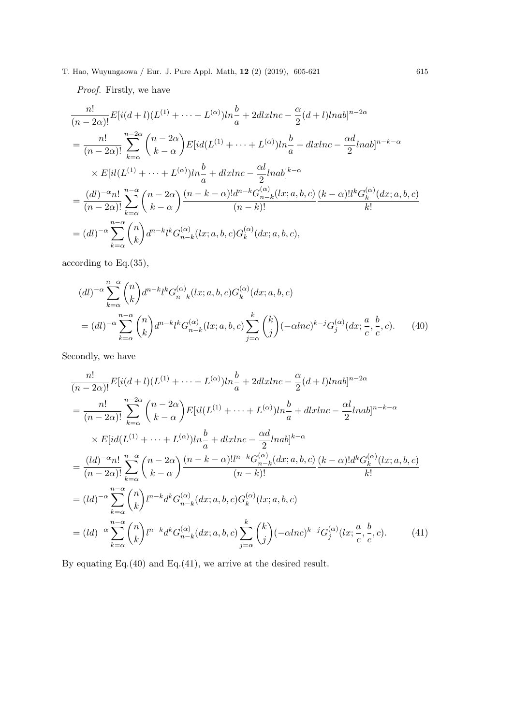Proof. Firstly, we have

$$
\frac{n!}{(n-2\alpha)!}E[i(d+l)(L^{(1)}+\cdots+L^{(\alpha)})ln\frac{b}{a}+2dlxlnc-\frac{\alpha}{2}(d+l)lnab]^{n-2\alpha}
$$
\n
$$
=\frac{n!}{(n-2\alpha)!}\sum_{k=\alpha}^{n-2\alpha} {n-2\alpha \choose k-\alpha}E[i d(L^{(1)}+\cdots+L^{(\alpha)})ln\frac{b}{a}+dlxlnc-\frac{\alpha d}{2}lnab]^{n-k-\alpha}
$$
\n
$$
\times E[i l(L^{(1)}+\cdots+L^{(\alpha)})ln\frac{b}{a}+dlxlnc-\frac{\alpha l}{2}lnab]^{k-\alpha}
$$
\n
$$
=\frac{(dl)^{-\alpha}n!}{(n-2\alpha)!}\sum_{k=\alpha}^{n-\alpha} {n-2\alpha \choose k-\alpha} \frac{(n-k-\alpha)!d^{n-k}G_{n-k}^{(\alpha)}(lx;a,b,c)}{(n-k)!}\frac{(k-\alpha)!l^kG_k^{(\alpha)}(dx;a,b,c)}{k!}
$$
\n
$$
=(dl)^{-\alpha}\sum_{k=\alpha}^{n-\alpha} {n \choose k}d^{n-k}l^kG_{n-k}^{(\alpha)}(lx;a,b,c)G_k^{(\alpha)}(dx;a,b,c),
$$

according to Eq.(35),

$$
(dl)^{-\alpha} \sum_{k=\alpha}^{n-\alpha} \binom{n}{k} d^{n-k} l^k G_{n-k}^{(\alpha)}(lx; a, b, c) G_k^{(\alpha)}(dx; a, b, c)
$$
  
= 
$$
(dl)^{-\alpha} \sum_{k=\alpha}^{n-\alpha} \binom{n}{k} d^{n-k} l^k G_{n-k}^{(\alpha)}(lx; a, b, c) \sum_{j=\alpha}^k \binom{k}{j} (-\alpha lnc)^{k-j} G_j^{(\alpha)}(dx; \frac{a}{c}, \frac{b}{c}, c).
$$
 (40)

Secondly, we have

$$
\frac{n!}{(n-2\alpha)!}E[i(d+l)(L^{(1)}+\cdots+L^{(\alpha)})ln\frac{b}{a}+2dlxlnc-\frac{\alpha}{2}(d+l)lnab]^{n-2\alpha}
$$
\n
$$
=\frac{n!}{(n-2\alpha)!}\sum_{k=\alpha}^{n-2\alpha} {n-2\alpha \choose k-\alpha}E[i(L^{(1)}+\cdots+L^{(\alpha)})ln\frac{b}{a}+dlxlnc-\frac{\alpha l}{2}lnab]^{n-k-\alpha}
$$
\n
$$
\times E[id(L^{(1)}+\cdots+L^{(\alpha)})ln\frac{b}{a}+dlxlnc-\frac{\alpha d}{2}lnab]^{k-\alpha}
$$
\n
$$
=\frac{(ld)^{-\alpha}n!}{(n-2\alpha)!}\sum_{k=\alpha}^{n-\alpha} {n-2\alpha \choose k-\alpha}\frac{(n-k-\alpha)!l^{n-k}G_{n-k}^{(\alpha)}(dx;a,b,c)}{(n-k)!}\frac{(k-\alpha)!d^{k}G_{k}^{(\alpha)}(lx;a,b,c)}{k!}
$$
\n
$$
=(ld)^{-\alpha}\sum_{k=\alpha}^{n-\alpha} {n \choose k}l^{n-k}d^{k}G_{n-k}^{(\alpha)}(dx;a,b,c)G_{k}^{(\alpha)}(lx;a,b,c)
$$
\n
$$
=(ld)^{-\alpha}\sum_{k=\alpha}^{n-\alpha} {n \choose k}l^{n-k}d^{k}G_{n-k}^{(\alpha)}(dx;a,b,c)\sum_{j=\alpha}^{k} {k \choose j}(-\alpha lnc)^{k-j}G_{j}^{(\alpha)}(lx;\frac{a}{c},\frac{b}{c},c).
$$
\n(41)

By equating Eq.(40) and Eq.(41), we arrive at the desired result.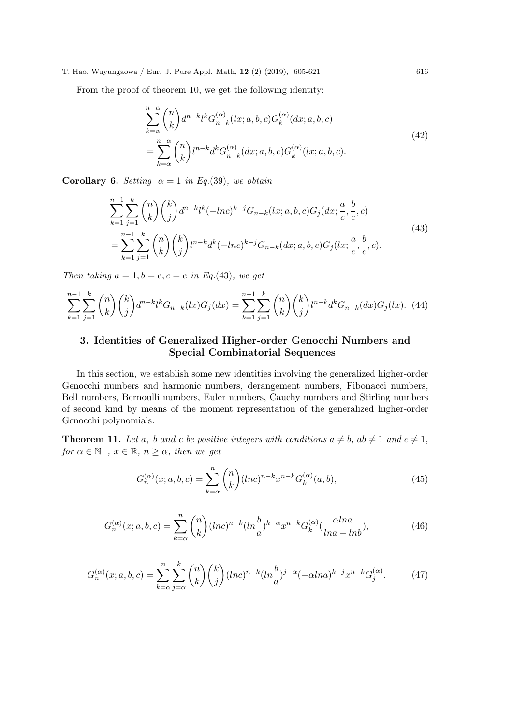From the proof of theorem 10, we get the following identity:

$$
\sum_{k=\alpha}^{n-\alpha} \binom{n}{k} d^{n-k} l^k G_{n-k}^{(\alpha)}(lx; a, b, c) G_k^{(\alpha)}(dx; a, b, c)
$$
\n
$$
= \sum_{k=\alpha}^{n-\alpha} \binom{n}{k} l^{n-k} d^k G_{n-k}^{(\alpha)}(dx; a, b, c) G_k^{(\alpha)}(lx; a, b, c).
$$
\n(42)

Corollary 6. Setting  $\alpha = 1$  in Eq.(39), we obtain

$$
\sum_{k=1}^{n-1} \sum_{j=1}^{k} \binom{n}{k} \binom{k}{j} d^{n-k} l^{k} (-ln c)^{k-j} G_{n-k}(lx; a, b, c) G_{j}(dx; \frac{a}{c}, \frac{b}{c}, c)
$$
\n
$$
= \sum_{k=1}^{n-1} \sum_{j=1}^{k} \binom{n}{k} \binom{k}{j} l^{n-k} d^{k} (-ln c)^{k-j} G_{n-k}(dx; a, b, c) G_{j}(lx; \frac{a}{c}, \frac{b}{c}, c).
$$
\n(43)

Then taking  $a = 1, b = e, c = e$  in Eq.(43), we get

$$
\sum_{k=1}^{n-1} \sum_{j=1}^{k} \binom{n}{k} \binom{k}{j} d^{n-k} l^k G_{n-k}(lx) G_j(dx) = \sum_{k=1}^{n-1} \sum_{j=1}^{k} \binom{n}{k} \binom{k}{j} l^{n-k} d^k G_{n-k}(dx) G_j(dx). \tag{44}
$$

### 3. Identities of Generalized Higher-order Genocchi Numbers and Special Combinatorial Sequences

In this section, we establish some new identities involving the generalized higher-order Genocchi numbers and harmonic numbers, derangement numbers, Fibonacci numbers, Bell numbers, Bernoulli numbers, Euler numbers, Cauchy numbers and Stirling numbers of second kind by means of the moment representation of the generalized higher-order Genocchi polynomials.

**Theorem 11.** Let a, b and c be positive integers with conditions  $a \neq b$ ,  $ab \neq 1$  and  $c \neq 1$ , for  $\alpha \in \mathbb{N}_+$ ,  $x \in \mathbb{R}$ ,  $n \geq \alpha$ , then we get

$$
G_n^{(\alpha)}(x;a,b,c) = \sum_{k=\alpha}^n \binom{n}{k} (ln c)^{n-k} x^{n-k} G_k^{(\alpha)}(a,b),\tag{45}
$$

$$
G_n^{(\alpha)}(x;a,b,c) = \sum_{k=\alpha}^n \binom{n}{k} (\ln c)^{n-k} (\ln \frac{b}{a})^{k-\alpha} x^{n-k} G_k^{(\alpha)}\left(\frac{\alpha \ln a}{\ln a - \ln b}\right),\tag{46}
$$

$$
G_n^{(\alpha)}(x;a,b,c) = \sum_{k=\alpha}^n \sum_{j=\alpha}^k \binom{n}{k} \binom{k}{j} (ln c)^{n-k} (ln \frac{b}{a})^{j-\alpha} (-\alpha ln a)^{k-j} x^{n-k} G_j^{(\alpha)}.
$$
 (47)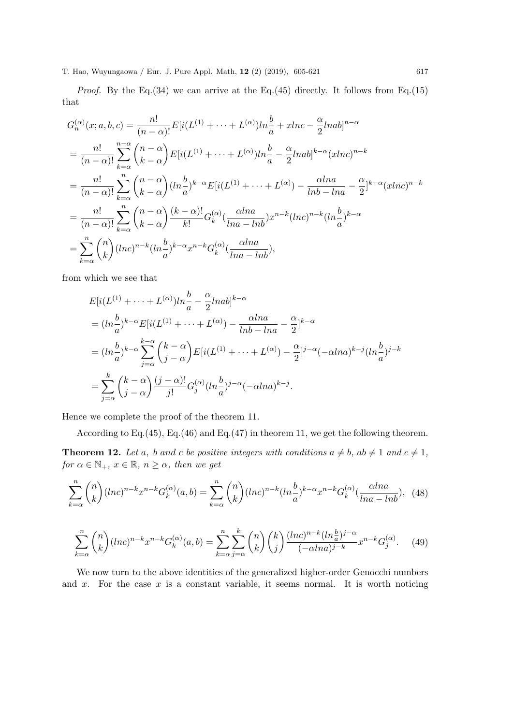*Proof.* By the Eq.(34) we can arrive at the Eq.(45) directly. It follows from Eq.(15) that

$$
G_n^{(\alpha)}(x;a,b,c) = \frac{n!}{(n-\alpha)!} E[i(L^{(1)} + \dots + L^{(\alpha)})ln\frac{b}{a} + xlnc - \frac{\alpha}{2}lnab]^{n-\alpha}
$$
  
\n
$$
= \frac{n!}{(n-\alpha)!} \sum_{k=\alpha}^{n-\alpha} {n-\alpha \choose k-\alpha} E[i(L^{(1)} + \dots + L^{(\alpha)})ln\frac{b}{a} - \frac{\alpha}{2}lnab]^{k-\alpha} (xlnc)^{n-k}
$$
  
\n
$$
= \frac{n!}{(n-\alpha)!} \sum_{k=\alpha}^{n} {n-\alpha \choose k-\alpha} (ln\frac{b}{a})^{k-\alpha} E[i(L^{(1)} + \dots + L^{(\alpha)}) - \frac{\alpha lna}{lnb - lna} - \frac{\alpha}{2}]^{k-\alpha} (xlnc)^{n-k}
$$
  
\n
$$
= \frac{n!}{(n-\alpha)!} \sum_{k=\alpha}^{n} {n-\alpha \choose k-\alpha} \frac{(k-\alpha)!}{k!} G_k^{(\alpha)}(\frac{\alpha lna}{lna - lnb}) x^{n-k} (lnc)^{n-k} (ln\frac{b}{a})^{k-\alpha}
$$
  
\n
$$
= \sum_{k=\alpha}^{n} {n \choose k} (lnc)^{n-k} (ln\frac{b}{a})^{k-\alpha} x^{n-k} G_k^{(\alpha)}(\frac{\alpha lna}{lna - lnb}),
$$

from which we see that

$$
E[i(L^{(1)} + \dots + L^{(\alpha)})ln\frac{b}{a} - \frac{\alpha}{2}lnab]^{k-\alpha}
$$
  
=  $(ln\frac{b}{a})^{k-\alpha}E[i(L^{(1)} + \dots + L^{(\alpha)}) - \frac{\alpha ln a}{ln b - ln a} - \frac{\alpha}{2}]^{k-\alpha}$   
=  $(ln\frac{b}{a})^{k-\alpha}\sum_{j=\alpha}^{k-\alpha} {k-\alpha \choose j-\alpha}E[i(L^{(1)} + \dots + L^{(\alpha)}) - \frac{\alpha}{2}]^{j-\alpha}(-\alpha ln a)^{k-j}(ln\frac{b}{a})^{j-k}$   
=  $\sum_{j=\alpha}^{k} {k-\alpha \choose j-\alpha} \frac{(j-\alpha)!}{j!}G_j^{(\alpha)}(ln\frac{b}{a})^{j-\alpha}(-\alpha ln a)^{k-j}.$ 

Hence we complete the proof of the theorem 11.

According to Eq.(45), Eq.(46) and Eq.(47) in theorem 11, we get the following theorem.

**Theorem 12.** Let a, b and c be positive integers with conditions  $a \neq b$ ,  $ab \neq 1$  and  $c \neq 1$ , for  $\alpha \in \mathbb{N}_+$ ,  $x \in \mathbb{R}$ ,  $n \geq \alpha$ , then we get

$$
\sum_{k=\alpha}^{n} \binom{n}{k} (\ln c)^{n-k} x^{n-k} G_k^{(\alpha)}(a,b) = \sum_{k=\alpha}^{n} \binom{n}{k} (\ln c)^{n-k} (\ln \frac{b}{a})^{k-\alpha} x^{n-k} G_k^{(\alpha)}(\frac{\alpha \ln a}{\ln a - \ln b}), \quad (48)
$$

$$
\sum_{k=\alpha}^{n} \binom{n}{k} (\ln c)^{n-k} x^{n-k} G_k^{(\alpha)}(a,b) = \sum_{k=\alpha}^{n} \sum_{j=\alpha}^{k} \binom{n}{k} \binom{k}{j} \frac{(\ln c)^{n-k} (\ln \frac{b}{a})^{j-\alpha}}{(-\alpha \ln a)^{j-k}} x^{n-k} G_j^{(\alpha)}.
$$
 (49)

We now turn to the above identities of the generalized higher-order Genocchi numbers and  $x$ . For the case  $x$  is a constant variable, it seems normal. It is worth noticing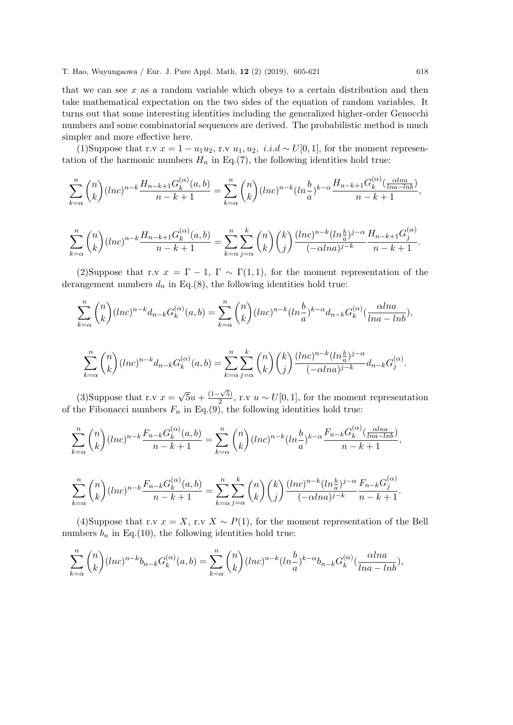that we can see  $x$  as a random variable which obeys to a certain distribution and then take mathematical expectation on the two sides of the equation of random variables. It turns out that some interesting identities including the generalized higher-order Genocchi numbers and some combinatorial sequences are derived. The probabilistic method is much simpler and more effective here.

(1)Suppose that r.v  $x = 1 - u_1 u_2$ , r.v  $u_1, u_2, i.i.d \sim U[0, 1]$ , for the moment representation of the harmonic numbers  $H_n$  in Eq.(7), the following identities hold true:

$$
\sum_{k=\alpha}^{n} \binom{n}{k} (\ln c)^{n-k} \frac{H_{n-k+1} G_k^{(\alpha)}(a,b)}{n-k+1} = \sum_{k=\alpha}^{n} \binom{n}{k} (\ln c)^{n-k} (\ln \frac{b}{a})^{k-\alpha} \frac{H_{n-k+1} G_k^{(\alpha)}(\frac{\alpha \ln a}{\ln a - \ln b})}{n-k+1},
$$

$$
\sum_{k=\alpha}^{n} \binom{n}{k} (\ln c)^{n-k} \frac{H_{n-k+1} G_k^{(\alpha)}(a,b)}{n-k+1} = \sum_{k=\alpha}^{n} \sum_{j=\alpha}^{k} \binom{n}{k} \binom{k}{j} \frac{(\ln c)^{n-k} (\ln \frac{b}{a})^{j-\alpha}}{(-\alpha \ln a)^{j-k}} \frac{H_{n-k+1} G_j^{(\alpha)}}{n-k+1}.
$$

(2)Suppose that r.v  $x = \Gamma - 1$ ,  $\Gamma \sim \Gamma(1, 1)$ , for the moment representation of the derangement numbers  $d_n$  in Eq.(8), the following identities hold true:

$$
\sum_{k=\alpha}^{n} \binom{n}{k} (\ln c)^{n-k} d_{n-k} G_k^{(\alpha)}(a,b) = \sum_{k=\alpha}^{n} \binom{n}{k} (\ln c)^{n-k} (\ln \frac{b}{a})^{k-\alpha} d_{n-k} G_k^{(\alpha)}(\frac{\alpha \ln a}{\ln a - \ln b}),
$$
  

$$
\sum_{k=\alpha}^{n} \binom{n}{k} (\ln c)^{n-k} d_{n-k} G_k^{(\alpha)}(a,b) = \sum_{k=\alpha}^{n} \sum_{k=0}^{k} \binom{n}{k} \binom{k}{j} \frac{(\ln c)^{n-k} (\ln \frac{b}{a})^{j-\alpha}}{(-\alpha \ln a)^{j-k}} d_{n-k} G_j^{(\alpha)}.
$$

(3) Suppose that r.v  $x =$ √  $\overline{5}u + \frac{(1-\sqrt{5})}{2}$  $\frac{2(\sqrt{3})}{2}$ , r.v  $u \sim U[0, 1]$ , for the moment representation of the Fibonacci numbers  $F_n$  in Eq.(9), the following identities hold true:

 $j=\alpha$ 

 $k=\alpha$ 

 $k=\alpha$ 

$$
\sum_{k=\alpha}^{n} \binom{n}{k} (\ln c)^{n-k} \frac{F_{n-k} G_k^{(\alpha)}(a,b)}{n-k+1} = \sum_{k=\alpha}^{n} \binom{n}{k} (\ln c)^{n-k} (\ln \frac{b}{a})^{k-\alpha} \frac{F_{n-k} G_k^{(\alpha)}(\frac{\alpha \ln a}{\ln a - \ln b})}{n-k+1},
$$

$$
\sum_{k=\alpha}^{n} \binom{n}{k} (\ln c)^{n-k} \frac{F_{n-k} G_k^{(\alpha)}(a,b)}{n-k+1} = \sum_{k=\alpha}^{n} \sum_{j=\alpha}^{k} \binom{n}{k} \binom{k}{j} \frac{(\ln c)^{n-k} (\ln \frac{b}{a})^{j-\alpha}}{(-\alpha \ln a)^{j-k}} \frac{F_{n-k} G_j^{(\alpha)}}{n-k+1}.
$$

(4)Suppose that r.v  $x = X$ , r.v  $X \sim P(1)$ , for the moment representation of the Bell numbers  $b_n$  in Eq.(10), the following identities hold true:

$$
\sum_{k=\alpha}^{n} {n \choose k} (ln c)^{n-k} b_{n-k} G_k^{(\alpha)}(a,b) = \sum_{k=\alpha}^{n} {n \choose k} (ln c)^{n-k} (ln \frac{b}{a})^{k-\alpha} b_{n-k} G_k^{(\alpha)}(\frac{\alpha ln a}{ln a - ln b}),
$$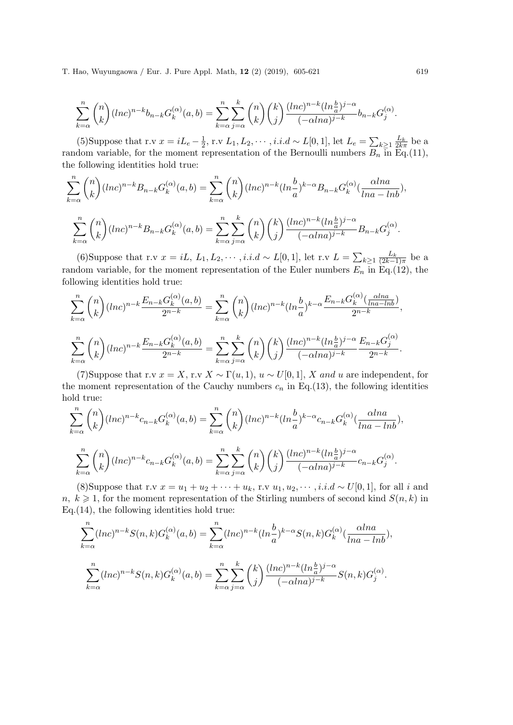$$
\sum_{k=\alpha}^{n} \binom{n}{k} (\ln c)^{n-k} b_{n-k} G_k^{(\alpha)}(a,b) = \sum_{k=\alpha}^{n} \sum_{j=\alpha}^{k} \binom{n}{k} \binom{k}{j} \frac{(\ln c)^{n-k} (\ln \frac{b}{a})^{j-\alpha}}{(-\alpha \ln a)^{j-k}} b_{n-k} G_j^{(\alpha)}.
$$

(5)Suppose that r.v  $x = iL_e - \frac{1}{2}$  $\frac{1}{2}$ , r.v L<sub>1</sub>, L<sub>2</sub>, · · · , *i.i.d* ∼ L[0, 1], let L<sub>e</sub> =  $\sum_{k≥1} \frac{L_k}{2kπ}$  be a random variable, for the moment representation of the Bernoulli numbers  $B_n$  in Eq.(11), the following identities hold true:

$$
\sum_{k=\alpha}^{n} \binom{n}{k} (\ln c)^{n-k} B_{n-k} G_k^{(\alpha)}(a,b) = \sum_{k=\alpha}^{n} \binom{n}{k} (\ln c)^{n-k} (\ln \frac{b}{a})^{k-\alpha} B_{n-k} G_k^{(\alpha)}(\frac{\alpha \ln a}{\ln a - \ln b}),
$$

$$
\sum_{k=\alpha}^{n} \binom{n}{k} (\ln c)^{n-k} B_{n-k} G_k^{(\alpha)}(a,b) = \sum_{k=\alpha}^{n} \sum_{j=\alpha}^{k} \binom{n}{k} \binom{k}{j} \frac{(\ln c)^{n-k} (\ln \frac{b}{a})^{j-\alpha}}{(-\alpha \ln a)^{j-k}} B_{n-k} G_j^{(\alpha)}.
$$

(6)Suppose that r.v  $x = iL, L_1, L_2, \cdots, i.i.d \sim L[0,1]$ , let r.v  $L = \sum_{k \geq 1} \frac{L_k}{(2k-1)\pi}$  be a random variable, for the moment representation of the Euler numbers  $E_n$  in Eq.(12), the following identities hold true:

$$
\sum_{k=\alpha}^{n} \binom{n}{k} (\ln c)^{n-k} \frac{E_{n-k} G_k^{(\alpha)}(a,b)}{2^{n-k}} = \sum_{k=\alpha}^{n} \binom{n}{k} (\ln c)^{n-k} (\ln \frac{b}{a})^{k-\alpha} \frac{E_{n-k} G_k^{(\alpha)}(\frac{\alpha \ln a}{\ln a - \ln b})}{2^{n-k}},
$$

$$
\sum_{k=\alpha}^{n} \binom{n}{k} (\ln c)^{n-k} \frac{E_{n-k} G_k^{(\alpha)}(a,b)}{2^{n-k}} = \sum_{k=\alpha}^{n} \sum_{j=\alpha}^{k} \binom{n}{k} \binom{k}{j} \frac{(\ln c)^{n-k} (\ln \frac{b}{a})^{j-\alpha}}{(-\alpha \ln a)^{j-k}} \frac{E_{n-k} G_j^{(\alpha)}}{2^{n-k}}.
$$

(7)Suppose that r.v  $x = X$ , r.v  $X \sim \Gamma(u, 1)$ ,  $u \sim U[0, 1]$ , X and u are independent, for the moment representation of the Cauchy numbers  $c_n$  in Eq.(13), the following identities hold true:

$$
\sum_{k=\alpha}^{n} \binom{n}{k} (\ln c)^{n-k} c_{n-k} G_k^{(\alpha)}(a,b) = \sum_{k=\alpha}^{n} \binom{n}{k} (\ln c)^{n-k} (\ln \frac{b}{a})^{k-\alpha} c_{n-k} G_k^{(\alpha)}(\frac{\alpha \ln a}{\ln a - \ln b}),
$$

$$
\sum_{k=\alpha}^{n} \binom{n}{k} (\ln c)^{n-k} c_{n-k} G_k^{(\alpha)}(a,b) = \sum_{k=\alpha}^{n} \sum_{j=\alpha}^{k} \binom{n}{k} \binom{k}{j} \frac{(\ln c)^{n-k} (\ln \frac{b}{a})^{j-\alpha}}{(-\alpha \ln a)^{j-k}} c_{n-k} G_j^{(\alpha)}.
$$

(8)Suppose that r.v  $x = u_1 + u_2 + \cdots + u_k$ , r.v  $u_1, u_2, \cdots, i.i.d \sim U[0,1]$ , for all i and  $n, k \geq 1$ , for the moment representation of the Stirling numbers of second kind  $S(n, k)$  in Eq.(14), the following identities hold true:

$$
\sum_{k=\alpha}^{n} (\ln c)^{n-k} S(n,k) G_k^{(\alpha)}(a,b) = \sum_{k=\alpha}^{n} (\ln c)^{n-k} (\ln \frac{b}{a})^{k-\alpha} S(n,k) G_k^{(\alpha)}(\frac{\alpha \ln a}{\ln a - \ln b}),
$$
  

$$
\sum_{k=\alpha}^{n} (\ln c)^{n-k} S(n,k) G_k^{(\alpha)}(a,b) = \sum_{k=\alpha}^{n} \sum_{j=\alpha}^{k} {k \choose j} \frac{(\ln c)^{n-k} (\ln \frac{b}{a})^{j-\alpha}}{(-\alpha \ln a)^{j-k}} S(n,k) G_j^{(\alpha)}.
$$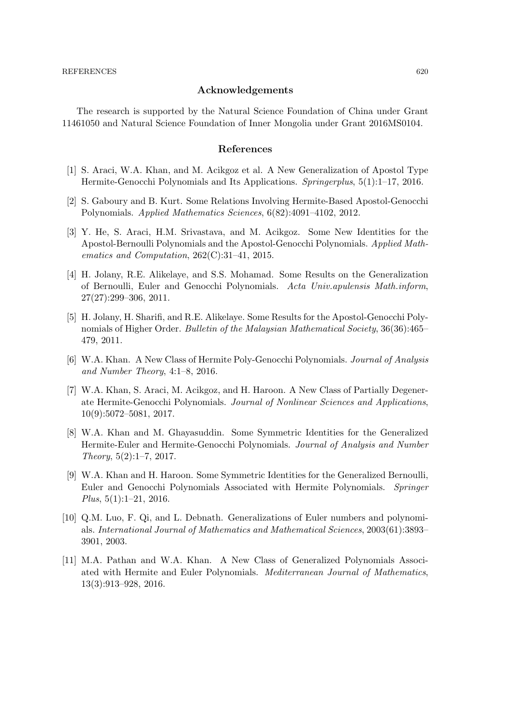#### Acknowledgements

The research is supported by the Natural Science Foundation of China under Grant 11461050 and Natural Science Foundation of Inner Mongolia under Grant 2016MS0104.

#### References

- [1] S. Araci, W.A. Khan, and M. Acikgoz et al. A New Generalization of Apostol Type Hermite-Genocchi Polynomials and Its Applications. Springerplus, 5(1):1–17, 2016.
- [2] S. Gaboury and B. Kurt. Some Relations Involving Hermite-Based Apostol-Genocchi Polynomials. Applied Mathematics Sciences, 6(82):4091–4102, 2012.
- [3] Y. He, S. Araci, H.M. Srivastava, and M. Acikgoz. Some New Identities for the Apostol-Bernoulli Polynomials and the Apostol-Genocchi Polynomials. Applied Mathematics and Computation,  $262(C):31-41$ , 2015.
- [4] H. Jolany, R.E. Alikelaye, and S.S. Mohamad. Some Results on the Generalization of Bernoulli, Euler and Genocchi Polynomials. Acta Univ.apulensis Math.inform, 27(27):299–306, 2011.
- [5] H. Jolany, H. Sharifi, and R.E. Alikelaye. Some Results for the Apostol-Genocchi Polynomials of Higher Order. Bulletin of the Malaysian Mathematical Society, 36(36):465– 479, 2011.
- [6] W.A. Khan. A New Class of Hermite Poly-Genocchi Polynomials. Journal of Analysis and Number Theory, 4:1–8, 2016.
- [7] W.A. Khan, S. Araci, M. Acikgoz, and H. Haroon. A New Class of Partially Degenerate Hermite-Genocchi Polynomials. Journal of Nonlinear Sciences and Applications, 10(9):5072–5081, 2017.
- [8] W.A. Khan and M. Ghayasuddin. Some Symmetric Identities for the Generalized Hermite-Euler and Hermite-Genocchi Polynomials. Journal of Analysis and Number Theory, 5(2):1–7, 2017.
- [9] W.A. Khan and H. Haroon. Some Symmetric Identities for the Generalized Bernoulli, Euler and Genocchi Polynomials Associated with Hermite Polynomials. Springer Plus, 5(1):1–21, 2016.
- [10] Q.M. Luo, F. Qi, and L. Debnath. Generalizations of Euler numbers and polynomials. International Journal of Mathematics and Mathematical Sciences, 2003(61):3893– 3901, 2003.
- [11] M.A. Pathan and W.A. Khan. A New Class of Generalized Polynomials Associated with Hermite and Euler Polynomials. Mediterranean Journal of Mathematics, 13(3):913–928, 2016.